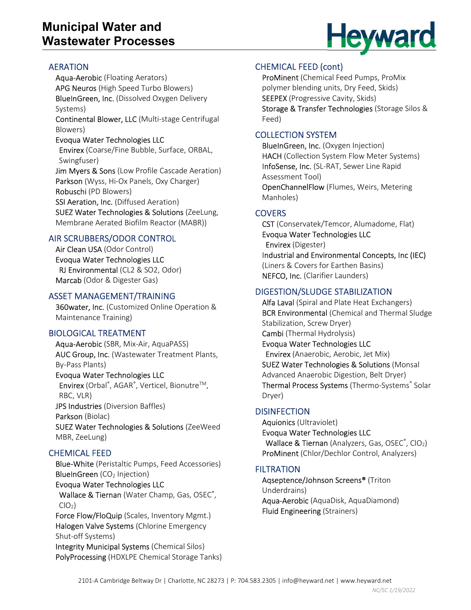## Municipal Water and Wastewater Processes

# AERATION

Aqua-Aerobic (Floating Aerators) APG Neuros (High Speed Turbo Blowers) BlueInGreen, Inc. (Dissolved Oxygen Delivery Systems) Continental Blower, LLC (Multi-stage Centrifugal Blowers) Evoqua Water Technologies LLC Envirex (Coarse/Fine Bubble, Surface, ORBAL, Swingfuser)

Jim Myers & Sons (Low Profile Cascade Aeration) Parkson (Wyss, Hi-Ox Panels, Oxy Charger) Robuschi (PD Blowers)

SSI Aeration, Inc. (Diffused Aeration) SUEZ Water Technologies & Solutions (ZeeLung, Membrane Aerated Biofilm Reactor (MABR))

## AIR SCRUBBERS/ODOR CONTROL

Air Clean USA (Odor Control) Evoqua Water Technologies LLC RJ Environmental (CL2 & SO2, Odor) Marcab (Odor & Digester Gas)

#### ASSET MANAGEMENT/TRAINING

360water, Inc. (Customized Online Operation & Maintenance Training)

#### BIOLOGICAL TREATMENT

Aqua-Aerobic (SBR, Mix-Air, AquaPASS) AUC Group, Inc. (Wastewater Treatment Plants, By-Pass Plants) Evoqua Water Technologies LLC Envirex (Orbal®, AGAR®, Verticel, Bionutre<sup>™</sup>, RBC, VLR) JPS Industries (Diversion Baffles) Parkson (Biolac) SUEZ Water Technologies & Solutions (ZeeWeed MBR, ZeeLung)

## CHEMICAL FEED

Blue-White (Peristaltic Pumps, Feed Accessories) **BlueInGreen** (CO<sub>2</sub> Injection)

Evoqua Water Technologies LLC Wallace & Tiernan (Water Champ, Gas, OSEC<sup>®</sup>,  $ClO<sub>2</sub>$ )

Force Flow/FloQuip (Scales, Inventory Mgmt.) Halogen Valve Systems (Chlorine Emergency Shut-off Systems)

Integrity Municipal Systems (Chemical Silos) PolyProcessing (HDXLPE Chemical Storage Tanks)

## CHEMICAL FEED (cont)

ProMinent (Chemical Feed Pumps, ProMix polymer blending units, Dry Feed, Skids) SEEPEX (Progressive Cavity, Skids) Storage & Transfer Technologies (Storage Silos & Feed)

## COLLECTION SYSTEM

BlueInGreen, Inc. (Oxygen Injection) HACH (Collection System Flow Meter Systems) InfoSense, Inc. (SL-RAT, Sewer Line Rapid Assessment Tool) OpenChannelFlow (Flumes, Weirs, Metering Manholes)

## **COVERS**

CST (Conservatek/Temcor, Alumadome, Flat) Evoqua Water Technologies LLC Envirex (Digester) Industrial and Environmental Concepts, Inc (IEC) (Liners & Covers for Earthen Basins) NEFCO, Inc. (Clarifier Launders)

## DIGESTION/SLUDGE STABILIZATION

Alfa Laval (Spiral and Plate Heat Exchangers) BCR Environmental (Chemical and Thermal Sludge Stabilization, Screw Dryer) Cambi (Thermal Hydrolysis) Evoqua Water Technologies LLC Envirex (Anaerobic, Aerobic, Jet Mix) SUEZ Water Technologies & Solutions (Monsal Advanced Anaerobic Digestion, Belt Dryer) Thermal Process Systems (Thermo-Systems® Solar Dryer)

#### **DISINFECTION**

Aquionics (Ultraviolet) Evoqua Water Technologies LLC Wallace & Tiernan (Analyzers, Gas, OSEC®, ClO<sub>2</sub>) ProMinent (Chlor/Dechlor Control, Analyzers)

## **FILTRATION**

Aqseptence/Johnson Screens® (Triton Underdrains) Aqua-Aerobic (AquaDisk, AquaDiamond) Fluid Engineering (Strainers)